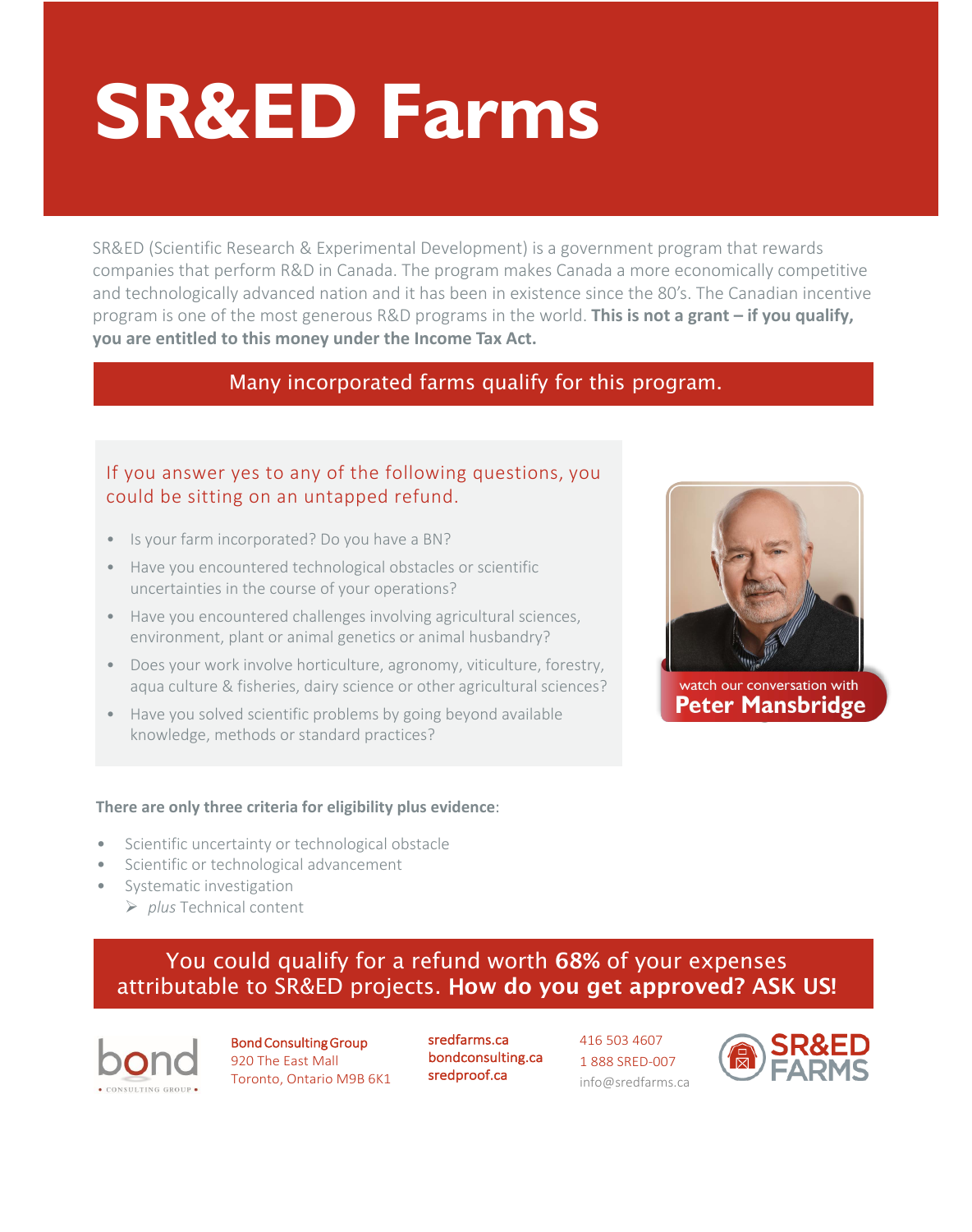# **SR&ED Farms**

SR&ED (Scientific Research & Experimental Development) is a government program that rewards companies that perform R&D in Canada. The program makes Canada a more economically competitive and technologically advanced nation and it has been in existence since the 80's. The Canadian incentive program is one of the most generous R&D programs in the world. **This is not a grant – if you qualify, you are entitled to this money under the Income Tax Act.**

## Many incorporated farms qualify for this program.

### If you answer yes to any of the following questions, you could be sitting on an untapped refund.

- Is your farm incorporated? Do you have a BN?
- Have you encountered technological obstacles or scientific uncertainties in the course of your operations?
- Have you encountered challenges involving agricultural sciences, environment, plant or animal genetics or animal husbandry?
- Does your work involve horticulture, agronomy, viticulture, forestry, aqua culture & fisheries, dairy science or other agricultural sciences?
- Have you solved scientific problems by going beyond available knowledge, methods or standard practices?



- Scientific uncertainty or technological obstacle
- Scientific or technological advancement
- Systematic investigation
	- *plus* Technical content



watch our conversation with **Peter Mansbridge** 

## You could qualify for a refund worth 68% of your expenses attributable to SR&ED projects. How do you get approved? ASK US!



Bond Consulting Group 920 The East Mall Toronto, Ontario M9B 6K1

[sredfarms.ca](https://sredfarms.ca/) [bondconsulting.ca](https://bondconsulting.ca/)  [sredproof.ca](https://sredproof.ca/)

416 503 4607 1 888 SRED-007 info@sredfarms.ca